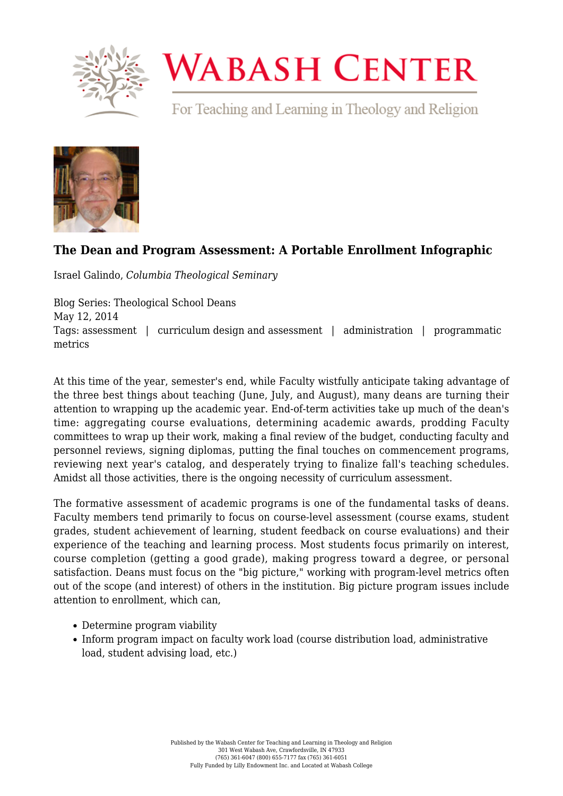

## **WABASH CENTER**

For Teaching and Learning in Theology and Religion



## **[The Dean and Program Assessment: A Portable Enrollment Infographic](https://www.wabashcenter.wabash.edu/2014/05/the-dean-and-program-assessment-a-portable-enrollment-infographic/)**

Israel Galindo, *Columbia Theological Seminary*

Blog Series: Theological School Deans May 12, 2014 Tags: assessment | curriculum design and assessment | administration | programmatic metrics

At this time of the year, semester's end, while Faculty wistfully anticipate taking advantage of the three best things about teaching (June, July, and August), many deans are turning their attention to wrapping up the academic year. End-of-term activities take up much of the dean's time: aggregating course evaluations, determining academic awards, prodding Faculty committees to wrap up their work, making a final review of the budget, conducting faculty and personnel reviews, signing diplomas, putting the final touches on commencement programs, reviewing next year's catalog, and desperately trying to finalize fall's teaching schedules. Amidst all those activities, there is the ongoing necessity of curriculum assessment.

The formative assessment of academic programs is one of the fundamental tasks of deans. Faculty members tend primarily to focus on course-level assessment (course exams, student grades, student achievement of learning, student feedback on course evaluations) and their experience of the teaching and learning process. Most students focus primarily on interest, course completion (getting a good grade), making progress toward a degree, or personal satisfaction. Deans must focus on the "big picture," working with program-level metrics often out of the scope (and interest) of others in the institution. Big picture program issues include attention to enrollment, which can,

- Determine program viability
- Inform program impact on faculty work load (course distribution load, administrative load, student advising load, etc.)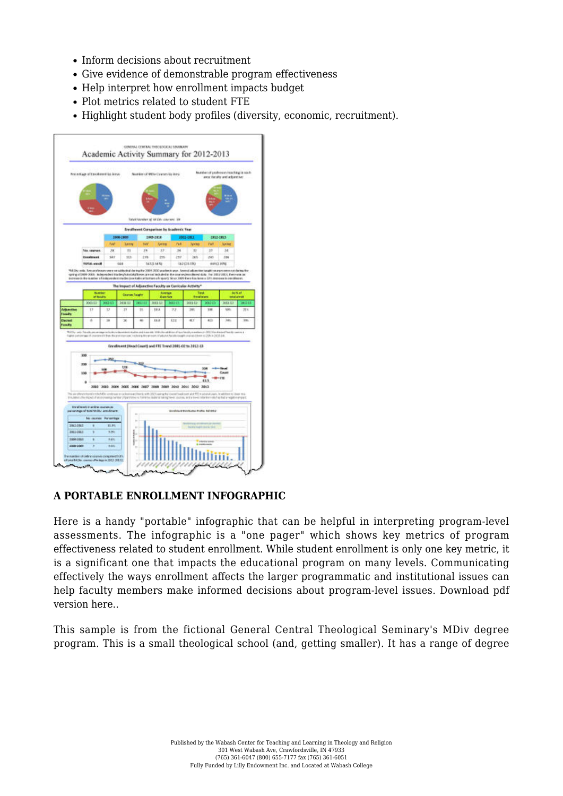- Inform decisions about recruitment
- Give evidence of demonstrable program effectiveness
- Help interpret how enrollment impacts budget
- Plot metrics related to student FTE
- Highlight student body profiles (diversity, economic, recruitment).



## **A PORTABLE ENROLLMENT INFOGRAPHIC**

Here is a handy "portable" infographic that can be helpful in interpreting program-level assessments. The infographic is a "one pager" which shows key metrics of program effectiveness related to student enrollment. While student enrollment is only one key metric, it is a significant one that impacts the educational program on many levels. Communicating effectively the ways enrollment affects the larger programmatic and institutional issues can help faculty members make informed decisions about program-level issues. [Download pdf](https://www.wabashcenter.wabash.edu/wp-content/uploads/2017/06/2012-13-academic-activity-summary-rpt-rev-7-3-13-1.pdf) [version here..](https://www.wabashcenter.wabash.edu/wp-content/uploads/2017/06/2012-13-academic-activity-summary-rpt-rev-7-3-13-1.pdf)

This sample is from the fictional General Central Theological Seminary's MDiv degree program. This is a small theological school (and, getting smaller). It has a range of degree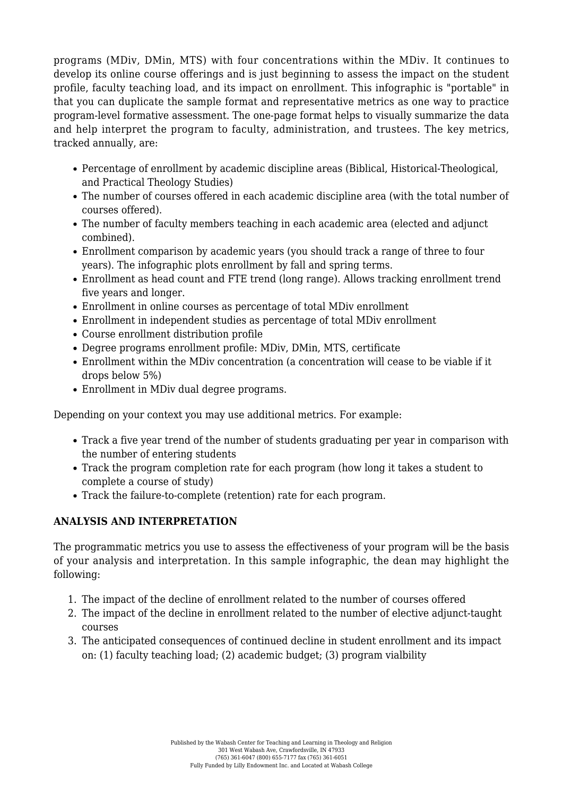programs (MDiv, DMin, MTS) with four concentrations within the MDiv. It continues to develop its online course offerings and is just beginning to assess the impact on the student profile, faculty teaching load, and its impact on enrollment. This infographic is "portable" in that you can duplicate the sample format and representative metrics as one way to practice program-level formative assessment. The one-page format helps to visually summarize the data and help interpret the program to faculty, administration, and trustees. The key metrics, tracked annually, are:

- Percentage of enrollment by academic discipline areas (Biblical, Historical-Theological, and Practical Theology Studies)
- The number of courses offered in each academic discipline area (with the total number of courses offered).
- The number of faculty members teaching in each academic area (elected and adjunct combined).
- Enrollment comparison by academic years (you should track a range of three to four years). The infographic plots enrollment by fall and spring terms.
- Enrollment as head count and FTE trend (long range). Allows tracking enrollment trend five years and longer.
- Enrollment in online courses as percentage of total MDiv enrollment
- Enrollment in independent studies as percentage of total MDiv enrollment
- Course enrollment distribution profile
- Degree programs enrollment profile: MDiv, DMin, MTS, certificate
- Enrollment within the MDiv concentration (a concentration will cease to be viable if it drops below 5%)
- Enrollment in MDiv dual degree programs.

Depending on your context you may use additional metrics. For example:

- Track a five year trend of the number of students graduating per year in comparison with the number of entering students
- Track the program completion rate for each program (how long it takes a student to complete a course of study)
- Track the failure-to-complete (retention) rate for each program.

## **ANALYSIS AND INTERPRETATION**

The programmatic metrics you use to assess the effectiveness of your program will be the basis of your analysis and interpretation. In this sample infographic, the dean may highlight the following:

- 1. The impact of the decline of enrollment related to the number of courses offered
- 2. The impact of the decline in enrollment related to the number of elective adjunct-taught courses
- 3. The anticipated consequences of continued decline in student enrollment and its impact on: (1) faculty teaching load; (2) academic budget; (3) program vialbility